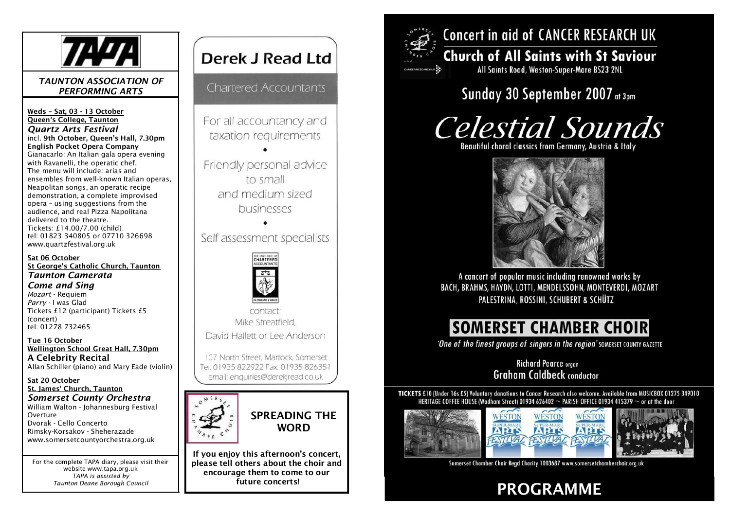

#### *TAUNTON ASSOCIATION OF PERFORMING ARTS*

Weds – Sat, 03 - 13 October Queen's College, Taunton *Quartz Arts Festival* incl. 9th October, Queen's Hall, 7.30pm English Pocket Opera Company Gianacarlo: An Italian gala opera evening with Ravanelli, the operatic chef. The menu will include: arias and ensembles from well-known Italian operas, Neapolitan songs, an operatic recipe demonstration, a complete improvised opera – using suggestions from the audience, and real Pizza Napolitana delivered to the theatre. Tickets: £14.00/7.00 (child) tel: 01823 340805 or 07710 326698 www.quartzfestival.org.uk

Sat 06 October St George's Catholic Church, Taunton *Taunton Camerata Come and Sing Mozart* - Requiem *Parry* - I was Glad Tickets £12 (participant) Tickets £5 (concert) tel: 01278 732465

Tue 16 October Wellington School Great Hall, 7.30pm A Celebrity Recital Allan Schiller (piano) and Mary Eade (violin)

Sat 20 October St. James' Church, Taunton *Somerset County Orchestra* William Walton - Johannesburg Festival Overture Dvorak - Cello Concerto Rimsky-Korsakov - Sheherazade www.somersetcountyorchestra.org.uk

For the complete TAPA diary, please visit their website www.tapa.org.uk *TAPA is assisted by Taunton Deane Borough Council*

# Derek J Read Ltd

**Chartered Accountants** 

For all accountancy and taxation requirements

Friendly personal advice to small and medium sized businesses

Self assessment specialists



contact Mike Streatfield David Hallett or Lee Anderson

107 North Street, Martock, Somerset Tel: 01935 822922 Fax: 01935 826351 email: enquiries@derekjread.co.uk



If you enjoy this afternoon's concert, please tell others about the choir and encourage them to come to our



# **Concert in aid of CANCER RESEARCH UK**

## **Church of All Saints with St Saviour** All Saints Road, Weston-Super-Mare BS23 2NL

# Sunday 30 September 2007 at 3pm

# **Celestial Sounds**

Beautiful choral classics from Germany, Austria & Italy



A concert of popular music including renowned works by BACH, BRAHMS, HAYDN, LOTTI, MENDELSSOHN, MONTEVERDI, MOZART PALESTRINA, ROSSINI, SCHUBERT & SCHÜTZ

# **SOMERSET CHAMBER CHOIR**

'One of the finest groups of singers in the region' SOMERSET COUNTY GAZETTE

**Richard Pearce organ Graham Caldbeck conductor** 

TICKETS £10 (Under 16s £5) Voluntary donations to Cancer Research also welcome. Available from MUSICBOX 01275 349010 HERITAGE COFFEE HOUSE (Wadham Street) 01934 626402 ~ PARISH OFFICE 01934 415379 ~ or at the door



Somerset Chamber Choir Read Charity 1003687 www.somersetchamberchoir.org.uk

future concerts!<br>
PROGRAMME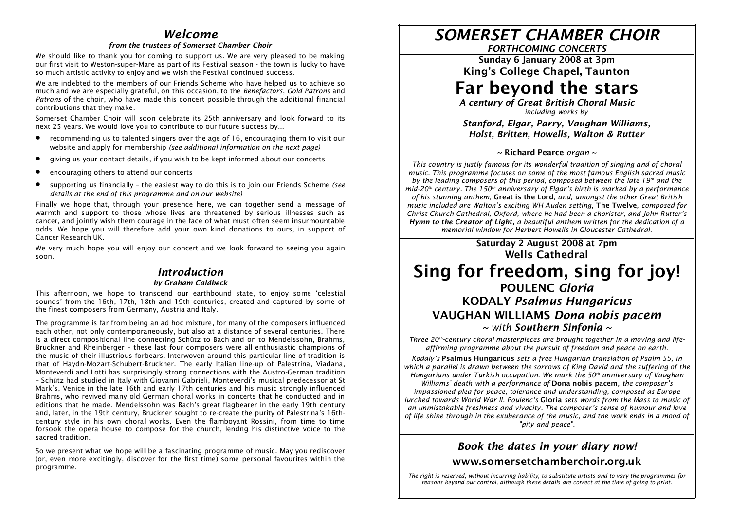### *Welcome*

#### *from the trustees of Somerset Chamber Choir*

We should like to thank you for coming to support us. We are very pleased to be making our first visit to Weston-super-Mare as part of its Festival season - the town is lucky to have so much artistic activity to enjoy and we wish the Festival continued success.

We are indebted to the members of our Friends Scheme who have helped us to achieve so much and we are especially grateful, on this occasion, to the *Benefactors*, *Gold Patrons* and *Patrons* of the choir, who have made this concert possible through the additional financial contributions that they make.

Somerset Chamber Choir will soon celebrate its 25th anniversary and look forward to its next 25 years. We would love you to contribute to our future success by...

- · recommending us to talented singers over the age of 16, encouraging them to visit our website and apply for membership *(see additional information on the next page)*
- · giving us your contact details, if you wish to be kept informed about our concerts
- encouraging others to attend our concerts
- · supporting us financially the easiest way to do this is to join our Friends Scheme *(see details at the end of this programme and on our website)*

Finally we hope that, through your presence here, we can together send a message of warmth and support to those whose lives are threatened by serious illnesses such as cancer, and jointly wish them courage in the face of what must often seem insurmountable odds. We hope you will therefore add your own kind donations to ours, in support of Cancer Research UK.

We very much hope you will enjoy our concert and we look forward to seeing you again soon.

#### *Introduction by Graham Caldbeck*

This afternoon, we hope to transcend our earthbound state, to enjoy some 'celestial sounds' from the 16th, 17th, 18th and 19th centuries, created and captured by some of the finest composers from Germany, Austria and Italy.

The programme is far from being an ad hoc mixture, for many of the composers influenced each other, not only contemporaneously, but also at a distance of several centuries. There is a direct compositional line connecting Schütz to Bach and on to Mendelssohn, Brahms, Bruckner and Rheinberger – these last four composers were all enthusiastic champions of the music of their illustrious forbears. Interwoven around this particular line of tradition is that of Haydn-Mozart-Schubert-Bruckner. The early Italian line-up of Palestrina, Viadana, Monteverdi and Lotti has surprisingly strong connections with the Austro-German tradition – Schütz had studied in Italy with Giovanni Gabrieli, Monteverdi's musical predecessor at St Mark's, Venice in the late 16th and early 17th centuries and his music strongly influenced Brahms, who revived many old German choral works in concerts that he conducted and in editions that he made. Mendelssohn was Bach's great flagbearer in the early 19th century and, later, in the 19th century, Bruckner sought to re-create the purity of Palestrina's 16thcentury style in his own choral works. Even the flamboyant Rossini, from time to time forsook the opera house to compose for the church, lendng his distinctive voice to the sacred tradition.

So we present what we hope will be a fascinating programme of music. May you rediscover (or, even more excitingly, discover for the first time) some personal favourites within the programme.

# *SOMERSET CHAMBER CHOIR*

*FORTHCOMING CONCERTS*

Sunday 6 January 2008 at 3pm King's College Chapel, Taunton

# Far beyond the stars

*A century of Great British Choral Music including works by*

*Stanford, Elgar, Parry, Vaughan Williams, Holst, Britten, Howells, Walton & Rutter*

#### ~ Richard Pearce *organ ~*

*This country is justly famous for its wonderful tradition of singing and of choral music. This programme focuses on some of the most famous English sacred music by the leading composers of this period, composed between the late 19th and the mid-20th century. The 150th anniversary of Elgar's birth is marked by a performance of his stunning anthem,* Great is the Lord*, and, amongst the other Great British music included are Walton's exciting WH Auden setting,* The Twelve*, composed for Christ Church Cathedral, Oxford, where he had been a chorister, and John Rutter's Hymn to the Creator of Light, a beautiful anthem written for the dedication of a memorial window for Herbert Howells in Gloucester Cathedral.*

# Saturday 2 August 2008 at 7pm Wells Cathedral Sing for freedom, sing for joy!

#### POULENC *Gloria* KODALY *Psalmus Hungaricus* VAUGHAN WILLIAMS *Dona nobis pacem ~ with Southern Sinfonia ~*

*Three 20th-century choral masterpieces are brought together in a moving and lifeaffirming programme about the pursuit of freedom and peace on earth.*

*Kodály's* Psalmus Hungaricus *sets a free Hungarian translation of Psalm 55, in which a parallel is drawn between the sorrows of King David and the suffering of the Hungarians under Turkish occupation. We mark the 50th anniversary of Vaughan*

*Williams' death with a performance of* Dona nobis pacem*, the composer's impassioned plea for peace, tolerance and understanding, composed as Europe lurched towards World War II. Poulenc's* Gloria *sets words from the Mass to music of an unmistakable freshness and vivacity. The composer's sense of humour and love of life shine through in the exuberance of the music, and the work ends in a mood of "pity and peace".*

#### *Book the dates in your diary now!* www.somersetchamberchoir.org.uk

*The right is reserved, without incurring liability, to substitute artists and to vary the programmes for reasons beyond our control, although these details are correct at the time of going to print.*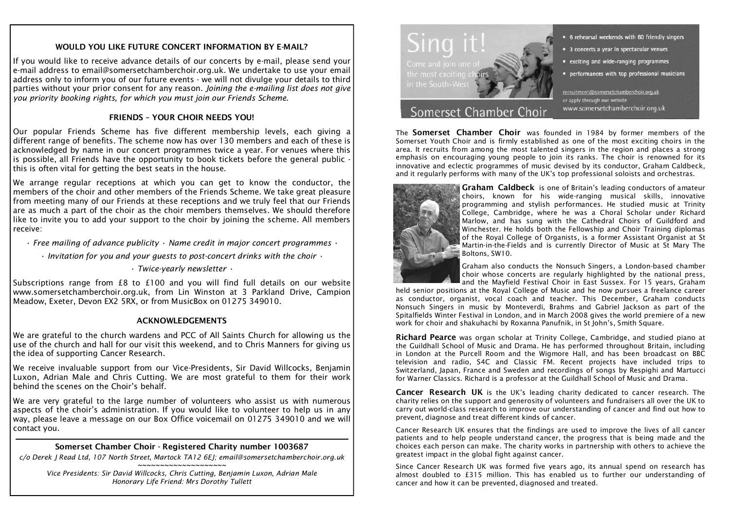#### WOULD YOU LIKE FUTURE CONCERT INFORMATION BY E-MAIL?

If you would like to receive advance details of our concerts by e-mail, please send your e-mail address to email@somersetchamberchoir.org.uk. We undertake to use your email address only to inform you of our future events - we will not divulge your details to third parties without your prior consent for any reason. *Joining the e-mailing list does not give you priority booking rights, for which you must join our Friends Scheme.*

#### FRIENDS – YOUR CHOIR NEEDS YOU!

Our popular Friends Scheme has five different membership levels, each giving a different range of benefits. The scheme now has over 130 members and each of these is acknowledged by name in our concert programmes twice a year. For venues where this is possible, all Friends have the opportunity to book tickets before the general public this is often vital for getting the best seats in the house.

We arrange regular receptions at which you can get to know the conductor, the members of the choir and other members of the Friends Scheme. We take great pleasure from meeting many of our Friends at these receptions and we truly feel that our Friends are as much a part of the choir as the choir members themselves. We should therefore like to invite you to add your support to the choir by joining the scheme. All members receive:

- *Free mailing of advance publicity Name credit in major concert programmes •*
	- *Invitation for you and your guests to post-concert drinks with the choir •*

*• Twice-yearly newsletter •*

Subscriptions range from £8 to £100 and you will find full details on our website www.somersetchamberchoir.org.uk, from Lin Winston at 3 Parkland Drive, Campion Meadow, Exeter, Devon EX2 5RX, or from MusicBox on 01275 349010.

#### ACKNOWLEDGEMENTS

We are grateful to the church wardens and PCC of All Saints Church for allowing us the use of the church and hall for our visit this weekend, and to Chris Manners for giving us the idea of supporting Cancer Research.

We receive invaluable support from our Vice-Presidents, Sir David Willcocks, Benjamin Luxon, Adrian Male and Chris Cutting. We are most grateful to them for their work behind the scenes on the Choir's behalf.

We are very grateful to the large number of volunteers who assist us with numerous aspects of the choir's administration. If you would like to volunteer to help us in any way, please leave a message on our Box Office voicemail on 01275 349010 and we will contact you.

#### Somerset Chamber Choir - Registered Charity number 1003687

*c/o Derek J Read Ltd, 107 North Street, Martock TA12 6EJ; email@somersetchamberchoir.org.uk ~~~~~~~~~~~~~~~~~~~~*

*Vice Presidents: Sir David Willcocks, Chris Cutting, Benjamin Luxon, Adrian Male Honorary Life Friend: Mrs Dorothy Tullett*



### Somerset Chamber Choir

• 6 rehearsal weekends with 60 friendly singers

- 3 concerts a year in spectacular venues
- exciting and wide-ranging programmes
- performances with top professional musicians

recruitment@somersetchamberchoir.org.uk or apply through our website www.somersetchamberchoir.org.uk

The Somerset Chamber Choir was founded in 1984 by former members of the Somerset Youth Choir and is firmly established as one of the most exciting choirs in the area. It recruits from among the most talented singers in the region and places a strong emphasis on encouraging young people to join its ranks. The choir is renowned for its innovative and eclectic programmes of music devised by its conductor, Graham Caldbeck, and it regularly performs with many of the UK's top professional soloists and orchestras.



Graham Caldbeck is one of Britain's leading conductors of amateur choirs, known for his wide-ranging musical skills, innovative programming and stylish performances. He studied music at Trinity College, Cambridge, where he was a Choral Scholar under Richard Marlow, and has sung with the Cathedral Choirs of Guildford and Winchester. He holds both the Fellowship and Choir Training diplomas of the Royal College of Organists, is a former Assistant Organist at St Martin-in-the-Fields and is currently Director of Music at St Mary The Boltons, SW10.

Graham also conducts the Nonsuch Singers, a London-based chamber choir whose concerts are regularly highlighted by the national press, and the Mayfield Festival Choir in East Sussex. For 15 years, Graham

held senior positions at the Royal College of Music and he now pursues a freelance career as conductor, organist, vocal coach and teacher. This December, Graham conducts Nonsuch Singers in music by Monteverdi, Brahms and Gabriel Jackson as part of the Spitalfields Winter Festival in London, and in March 2008 gives the world premiere of a new work for choir and shakuhachi by Roxanna Panufnik, in St John's, Smith Square.

Richard Pearce was organ scholar at Trinity College, Cambridge, and studied piano at the Guildhall School of Music and Drama. He has performed throughout Britain, including in London at the Purcell Room and the Wigmore Hall, and has been broadcast on BBC television and radio, S4C and Classic FM. Recent projects have included trips to Switzerland, Japan, France and Sweden and recordings of songs by Respighi and Martucci for Warner Classics. Richard is a professor at the Guildhall School of Music and Drama.

Cancer Research UK is the UK's leading charity dedicated to cancer research. The charity relies on the support and generosity of volunteers and fundraisers all over the UK to carry out world-class research to improve our understanding of cancer and find out how to prevent, diagnose and treat different kinds of cancer.

Cancer Research UK ensures that the findings are used to improve the lives of all cancer patients and to help people understand cancer, the progress that is being made and the choices each person can make. The charity works in partnership with others to achieve the greatest impact in the global fight against cancer.

Since Cancer Research UK was formed five years ago, its annual spend on research has almost doubled to £315 million. This has enabled us to further our understanding of cancer and how it can be prevented, diagnosed and treated.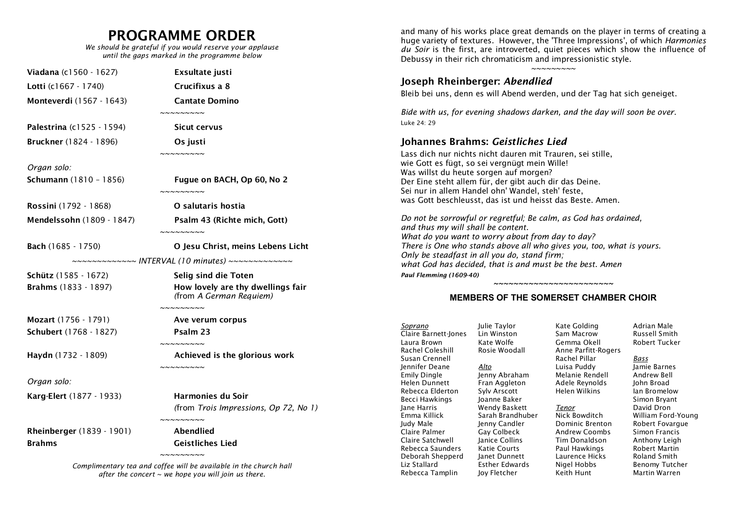# PROGRAMME ORDER

*We should be grateful if you would reserve your applause until the gaps marked in the programme below*

| <b>Viadana</b> (c1560 - 1627) | Exsultate justi                                                                                                         |  |
|-------------------------------|-------------------------------------------------------------------------------------------------------------------------|--|
| Lotti (c1667 - 1740)          | Crucifixus a 8                                                                                                          |  |
| Monteverdi (1567 - 1643)      | <b>Cantate Domino</b><br>$\sim$ $\sim$ $\sim$ $\sim$ $\sim$ $\sim$ $\sim$                                               |  |
| Palestrina (c1525 - 1594)     | <b>Sicut cervus</b>                                                                                                     |  |
| Bruckner (1824 - 1896)        | Os justi<br>$\sim$ $\sim$ $\sim$ $\sim$ $\sim$ $\sim$ $\sim$ $\sim$                                                     |  |
| Organ solo:                   |                                                                                                                         |  |
| Schumann (1810 - 1856)        | Fugue on BACH, Op 60, No 2<br>$\sim$ $\sim$ $\sim$ $\sim$ $\sim$ $\sim$                                                 |  |
| Rossini (1792 - 1868)         | O salutaris hostia                                                                                                      |  |
| Mendelssohn (1809 - 1847)     | Psalm 43 (Richte mich, Gott)<br>$\sim$ $\sim$ $\sim$ $\sim$ $\sim$ $\sim$ $\sim$                                        |  |
| Bach (1685 - 1750)            | O Jesu Christ, meins Lebens Licht<br>~~~~~~~~~~~~~ INTERVAL (10 minutes) ~~~~~~~~~~~~~                                  |  |
| <b>Schütz</b> (1585 - 1672)   | Selig sind die Toten                                                                                                    |  |
| Brahms (1833 - 1897)          | How lovely are thy dwellings fair<br>(from A German Requiem)<br>$\sim$ $\sim$ $\sim$ $\sim$ $\sim$ $\sim$ $\sim$ $\sim$ |  |
| Mozart (1756 - 1791)          | Ave verum corpus                                                                                                        |  |
| Schubert (1768 - 1827)        | Psalm 23<br>$\sim$ $\sim$ $\sim$ $\sim$ $\sim$ $\sim$ $\sim$ $\sim$                                                     |  |
| Haydn (1732 - 1809)           | Achieved is the glorious work<br>$\sim$ $\sim$ $\sim$ $\sim$ $\sim$ $\sim$ $\sim$                                       |  |
| Organ solo:                   |                                                                                                                         |  |
| Karg-Elert (1877 - 1933)      | <b>Harmonies du Soir</b>                                                                                                |  |
|                               | (from Trois Impressions, Op 72, No 1)<br>$\sim$ $\sim$ $\sim$ $\sim$ $\sim$ $\sim$ $\sim$                               |  |
| Rheinberger (1839 - 1901)     | Abendlied                                                                                                               |  |
| <b>Brahms</b>                 | <b>Geistliches Lied</b>                                                                                                 |  |
|                               | $\sim$ ~~~~~~~                                                                                                          |  |

*Complimentary tea and coffee will be available in the church hall after the concert ~ we hope you will join us there.*

and many of his works place great demands on the player in terms of creating a huge variety of textures. However, the 'Three Impressions', of which *Harmonies du Soir* is the first, are introverted, quiet pieces which show the influence of Debussy in their rich chromaticism and impressionistic style.

*~~~~~~~~~*

#### Joseph Rheinberger: *Abendlied*

Bleib bei uns, denn es will Abend werden, und der Tag hat sich geneiget.

*Bide with us, for evening shadows darken, and the day will soon be over.* Luke 24: 29

#### Johannes Brahms: *Geistliches Lied*

Lass dich nur nichts nicht dauren mit Trauren, sei stille, wie Gott es fügt, so sei vergnügt mein Wille! Was willst du heute sorgen auf morgen? Der Eine steht allem für, der gibt auch dir das Deine. Sei nur in allem Handel ohn' Wandel, steh' feste, was Gott beschleusst, das ist und heisst das Beste. Amen.

*Do not be sorrowful or regretful; Be calm, as God has ordained, and thus my will shall be content. What do you want to worry about from day to day? There is One who stands above all who gives you, too, what is yours. Only be steadfast in all you do, stand firm; what God has decided, that is and must be the best. Amen Paul Flemming (1609-40)*

#### *~~~~~~~~~~~~~~~~~~~~~~~~* **MEMBERS OF THE SOMERSET CHAMBER CHOIR**

| Soprano<br>Claire Barnett-Jones<br>Laura Brown<br>Rachel Coleshill<br>Susan Crennell<br><b>Iennifer Deane</b><br><b>Emily Dingle</b><br>Helen Dunnett | Julie Taylor<br>Lin Winston<br>Kate Wolfe<br>Rosie Woodall<br>Alto<br>Jenny Abraham<br>Fran Aggleton                                         | Kate Golding<br>Sam Macrow<br>Gemma Okell<br>Anne Parfitt-Rogers<br>Rachel Pillar<br>Luisa Puddy<br>Melanie Rendell<br>Adele Reynolds |
|-------------------------------------------------------------------------------------------------------------------------------------------------------|----------------------------------------------------------------------------------------------------------------------------------------------|---------------------------------------------------------------------------------------------------------------------------------------|
| Rebecca Elderton<br>Becci Hawkings<br>lane Harris                                                                                                     | Sylv Arscott<br>Joanne Baker<br>Wendy Baskett                                                                                                | Helen Wilkins<br>Tenor                                                                                                                |
| Emma Killick<br>Judy Male<br>Claire Palmer<br>Claire Satchwell<br>Rebecca Saunders<br>Deborah Shepperd<br>Liz Stallard<br>Rebecca Tamplin             | Sarah Brandhuber<br>Jenny Candler<br>Gay Colbeck<br>Janice Collins<br>Katie Courts<br>Janet Dunnett<br><b>Esther Edwards</b><br>Joy Fletcher | Nick Bowditch<br>Dominic Brenton<br>Andrew Coombs<br>Tim Donaldson<br>Paul Hawkings<br>Laurence Hicks<br>Nigel Hobbs<br>Keith Hunt    |

Adrian Male Russell Smith Robert Tucker

> *Bass* Jamie Barnes Andrew Bell John Broad Ian Bromelow Simon Bryant David Dron William Ford-Young Robert Fovargue Simon Francis Anthony Leigh Robert Martin Roland Smith Benomy Tutcher Martin Warren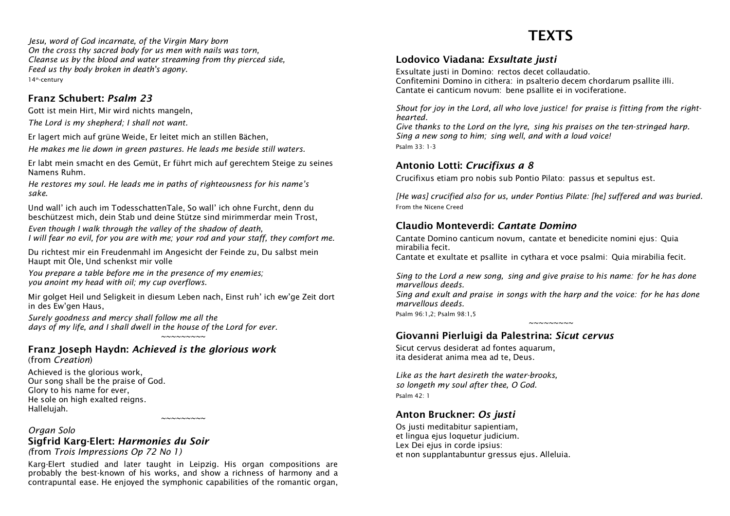*Jesu, word of God incarnate, of the Virgin Mary born On the cross thy sacred body for us men with nails was torn, Cleanse us by the blood and water streaming from thy pierced side, Feed us thy body broken in death's agony.* 14<sup>th</sup>-century

#### Franz Schubert: *Psalm 23*

Gott ist mein Hirt, Mir wird nichts mangeln, *The Lord is my shepherd; I shall not want.*

Er lagert mich auf grüne Weide, Er leitet mich an stillen Bächen,

*He makes me lie down in green pastures. He leads me beside still waters.*

Er labt mein smacht en des Gemüt, Er führt mich auf gerechtem Steige zu seines Namens Ruhm.

*He restores my soul. He leads me in paths of righteousness for his name's sake.*

Und wall' ich auch im TodesschattenTale, So wall' ich ohne Furcht, denn du beschützest mich, dein Stab und deine Stütze sind mirimmerdar mein Trost,

*Even though I walk through the valley of the shadow of death, I will fear no evil, for you are with me; your rod and your staff, they comfort me.*

Du richtest mir ein Freudenmahl im Angesicht der Feinde zu, Du salbst mein Haupt mit Öle, Und schenkst mir volle

*You prepare a table before me in the presence of my enemies; you anoint my head with oil; my cup overflows.*

Mir golget Heil und Seligkeit in diesum Leben nach, Einst ruh' ich ew'ge Zeit dort in des Ew'gen Haus,

*Surely goodness and mercy shall follow me all the days of my life, and I shall dwell in the house of the Lord for ever. ~~~~~~~~~*

#### Franz Joseph Haydn: *Achieved is the glorious work*

(from *Creation*)

Achieved is the glorious work, Our song shall be the praise of God. Glory to his name for ever, He sole on high exalted reigns. Hallelujah.

#### *Organ Solo* Sigfrid Karg-Elert: *Harmonies du Soir*

*(*from *Trois Impressions Op 72 No 1)*

Karg-Elert studied and later taught in Leipzig. His organ compositions are probably the best-known of his works, and show a richness of harmony and a contrapuntal ease. He enjoyed the symphonic capabilities of the romantic organ,

*~~~~~~~~~*

# **TEXTS**

#### Lodovico Viadana: *Exsultate justi*

Exsultate justi in Domino: rectos decet collaudatio. Confitemini Domino in cithera: in psalterio decem chordarum psallite illi. Cantate ei canticum novum: bene psallite ei in vociferatione.

*Shout for joy in the Lord, all who love justice! for praise is fitting from the righthearted.*

*Give thanks to the Lord on the lyre, sing his praises on the ten-stringed harp. Sing a new song to him; sing well, and with a loud voice!* Psalm 33: 1-3

#### Antonio Lotti: *Crucifixus a 8*

Crucifixus etiam pro nobis sub Pontio Pilato: passus et sepultus est.

*[He was] crucified also for us, under Pontius Pilate: [he] suffered and was buried.* From the Nicene Creed

#### Claudio Monteverdi: *Cantate Domino*

Cantate Domino canticum novum, cantate et benedicite nomini ejus: Quia mirabilia fecit.

Cantate et exultate et psallite in cythara et voce psalmi: Quia mirabilia fecit.

*Sing to the Lord a new song, sing and give praise to his name: for he has done marvellous deeds.*

*Sing and exult and praise in songs with the harp and the voice: for he has done marvellous deeds.*

*~~~~~~~~~*

Psalm 96:1,2; Psalm 98:1, 5

#### Giovanni Pierluigi da Palestrina: *Sicut cervus*

Sicut cervus desiderat ad fontes aquarum, ita desiderat anima mea ad te, Deus.

*Like as the hart desireth the water-brooks, so longeth my soul after thee, O God.* Psalm 42: 1

#### Anton Bruckner: *Os justi*

Os justi meditabitur sapientiam, et lingua ejus loquetur judicium. Lex Dei ejus in corde ipsius: et non supplantabuntur gressus ejus. Alleluia.